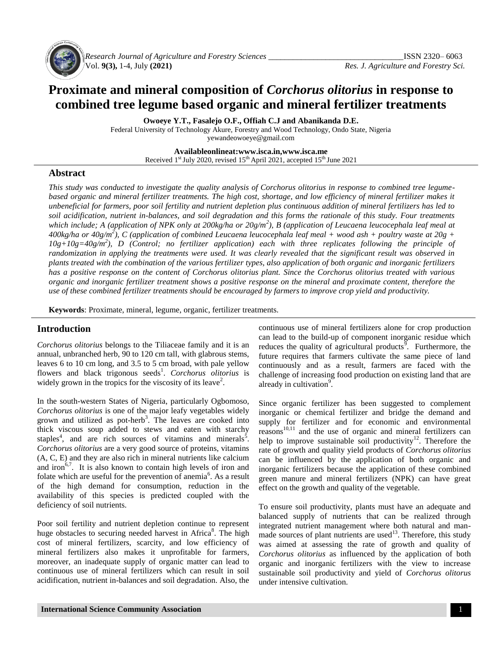

*Research Journal of Agriculture and Forestry Sciences \_\_\_\_\_\_\_\_\_\_\_\_\_\_\_\_\_\_\_\_\_\_\_\_\_\_\_\_\_\_\_\_\_*ISSN 2320– 6063 Vol. **9(3),** 1-4, July **(2021)** *Res. J. Agriculture and Forestry Sci.*

# **Proximate and mineral composition of** *Corchorus olitorius* **in response to combined tree legume based organic and mineral fertilizer treatments**

**Owoeye Y.T., Fasalejo O.F., Offiah C.J and Abanikanda D.E.**

Federal University of Technology Akure, Forestry and Wood Technology, Ondo State, Nigeria yewandeowoeye@gmail.com

> **Availableonlineat:www.isca.in,www.isca.me** Received 1<sup>st</sup> July 2020, revised 15<sup>th</sup> April 2021, accepted 15<sup>th</sup> June 2021

## **Abstract**

*This study was conducted to investigate the quality analysis of Corchorus olitorius in response to combined tree legumebased organic and mineral fertilizer treatments. The high cost, shortage, and low efficiency of mineral fertilizer makes it unbeneficial for farmers, poor soil fertility and nutrient depletion plus continuous addition of mineral fertilizers has led to soil acidification, nutrient in-balances, and soil degradation and this forms the rationale of this study. Four treatments*  which include; A (application of NPK only at 200kg/ha or 20g/m<sup>2</sup>), B (application of Leucaena leucocephala leaf meal at *400kg/ha or 40g/m<sup>2</sup> ), C (application of combined Leucaena leucocephala leaf meal + wood ash + poultry waste at 20g + 10g+10g=40g/m<sup>2</sup> ), D (Control; no fertilizer application) each with three replicates following the principle of randomization in applying the treatments were used. It was clearly revealed that the significant result was observed in plants treated with the combination of the various fertilizer types, also application of both organic and inorganic fertilizers has a positive response on the content of Corchorus olitorius plant. Since the Corchorus olitorius treated with various organic and inorganic fertilizer treatment shows a positive response on the mineral and proximate content, therefore the use of these combined fertilizer treatments should be encouraged by farmers to improve crop yield and productivity.*

**Keywords**: Proximate, mineral, legume, organic, fertilizer treatments.

## **Introduction**

*Corchorus olitorius* belongs to the Tiliaceae family and it is an annual, unbranched herb, 90 to 120 cm tall, with glabrous stems, leaves 6 to 10 cm long, and 3.5 to 5 cm broad, with pale yellow flowers and black trigonous seeds<sup>1</sup>. *Corchorus olitorius* is widely grown in the tropics for the viscosity of its leave<sup>2</sup>.

In the south-western States of Nigeria, particularly Ogbomoso, *Corchorus olitorius* is one of the major leafy vegetables widely grown and utilized as pot-herb<sup>3</sup>. The leaves are cooked into thick viscous soup added to stews and eaten with starchy staples<sup>4</sup>, and are rich sources of vitamins and minerals<sup>5</sup>. *Corchorus olitorius* are a very good source of proteins, vitamins (A, C, E) and they are also rich in mineral nutrients like calcium and iron $67$ . It is also known to contain high levels of iron and folate which are useful for the prevention of anemia<sup>6</sup>. As a result of the high demand for consumption, reduction in the availability of this species is predicted coupled with the deficiency of soil nutrients.

Poor soil fertility and nutrient depletion continue to represent huge obstacles to securing needed harvest in Africa<sup>8</sup>. The high cost of mineral fertilizers, scarcity, and low efficiency of mineral fertilizers also makes it unprofitable for farmers, moreover, an inadequate supply of organic matter can lead to continuous use of mineral fertilizers which can result in soil acidification, nutrient in-balances and soil degradation. Also, the

continuous use of mineral fertilizers alone for crop production can lead to the build-up of component inorganic residue which reduces the quality of agricultural products<sup> $\overline{9}$ </sup>. Furthermore, the future requires that farmers cultivate the same piece of land continuously and as a result, farmers are faced with the challenge of increasing food production on existing land that are already in cultivation<sup>9</sup>.

Since organic fertilizer has been suggested to complement inorganic or chemical fertilizer and bridge the demand and supply for fertilizer and for economic and environmental  $r_{\text{reasons}}^{10,11}$  and the use of organic and mineral fertilizers can help to improve sustainable soil productivity<sup>12</sup>. Therefore the rate of growth and quality yield products of *Corchorus olitorius* can be influenced by the application of both organic and inorganic fertilizers because the application of these combined green manure and mineral fertilizers (NPK) can have great effect on the growth and quality of the vegetable.

To ensure soil productivity, plants must have an adequate and balanced supply of nutrients that can be realized through integrated nutrient management where both natural and manmade sources of plant nutrients are used $13$ . Therefore, this study was aimed at assessing the rate of growth and quality of *Corchorus olitorius* as influenced by the application of both organic and inorganic fertilizers with the view to increase sustainable soil productivity and yield of *Corchorus olitorus*  under intensive cultivation.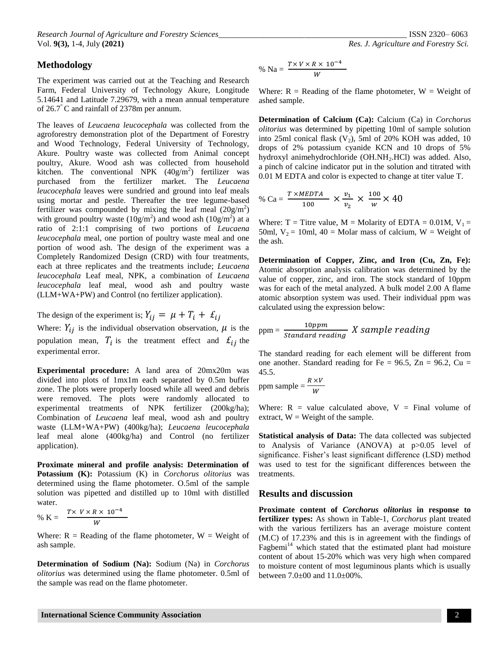### **Methodology**

The experiment was carried out at the Teaching and Research Farm, Federal University of Technology Akure, Longitude 5.14641 and Latitude 7.29679, with a mean annual temperature of 26.7° C and rainfall of 2378m per annum.

The leaves of *Leucaena leucocephala* was collected from the agroforestry demonstration plot of the Department of Forestry and Wood Technology, Federal University of Technology, Akure. Poultry waste was collected from Animal concept poultry, Akure. Wood ash was collected from household kitchen. The conventional NPK  $(40g/m^2)$  fertilizer was purchased from the fertilizer market. The *Leucaena leucocephala* leaves were sundried and ground into leaf meals using mortar and pestle. Thereafter the tree legume-based fertilizer was compounded by mixing the leaf meal  $(20g/m^2)$ with ground poultry waste  $(10g/m^2)$  and wood ash  $(10g/m^2)$  at a ratio of 2:1:1 comprising of two portions of *Leucaena leucocephala* meal, one portion of poultry waste meal and one portion of wood ash. The design of the experiment was a Completely Randomized Design (CRD) with four treatments, each at three replicates and the treatments include; *Leucaena leucocephala* Leaf meal, NPK, a combination of *Leucaena leucocephala* leaf meal, wood ash and poultry waste (LLM+WA+PW) and Control (no fertilizer application).

The design of the experiment is;  $Y_{ij} = \mu + T_i + \pounds_{ij}$ 

Where:  $Y_{ij}$  is the individual observation observation,  $\mu$  is the population mean,  $T_i$  is the treatment effect and  $\mathcal{L}_{ij}$  the experimental error.

**Experimental procedure:** A land area of 20mx20m was divided into plots of 1mx1m each separated by 0.5m buffer zone. The plots were properly loosed while all weed and debris were removed. The plots were randomly allocated to experimental treatments of NPK fertilizer (200kg/ha); Combination of *Leucaena* leaf meal, wood ash and poultry waste (LLM+WA+PW) (400kg/ha); *Leucaena leucocephala*  leaf meal alone (400kg/ha) and Control (no fertilizer application).

**Proximate mineral and profile analysis: Determination of Potassium (K):** Potassium (K) in *Corchorus olitorius* was determined using the flame photometer. O.5ml of the sample solution was pipetted and distilled up to 10ml with distilled water.

% K = 
$$
\frac{T \times V \times R \times 10^{-4}}{W}
$$

Where:  $R =$  Reading of the flame photometer,  $W =$  Weight of ash sample.

**Determination of Sodium (Na):** Sodium (Na) in *Corchorus olitorius* was determined using the flame photometer. 0.5ml of the sample was read on the flame photometer.

% Na = 
$$
\frac{T \times V \times R \times 10^{-4}}{W}
$$

Where:  $R =$  Reading of the flame photometer,  $W =$  Weight of ashed sample.

**Determination of Calcium (Ca):** Calcium (Ca) in *Corchorus olitorius* was determined by pipetting 10ml of sample solution into 25ml conical flask  $(V_2)$ , 5ml of 20% KOH was added, 10 drops of 2% potassium cyanide KCN and 10 drops of 5% hydroxyl animehydrochloride (OH.NH<sub>2</sub>.HCl) was added. Also, a pinch of calcine indicator put in the solution and titrated with 0.01 M EDTA and color is expected to change at titer value T.

% Ca = 
$$
\frac{T \times MEDTA}{100} \times \frac{v_1}{v_2} \times \frac{100}{w} \times 40
$$

Where:  $T =$  Titre value,  $M =$  Molarity of EDTA = 0.01M,  $V_1 =$ 50ml,  $V_2 = 10$ ml, 40 = Molar mass of calcium, W = Weight of the ash.

**Determination of Copper, Zinc, and Iron (Cu, Zn, Fe):**  Atomic absorption analysis calibration was determined by the value of copper, zinc, and iron. The stock standard of 10ppm was for each of the metal analyzed. A bulk model 2.00 A flame atomic absorption system was used. Their individual ppm was calculated using the expression below:

$$
ppm = \frac{10ppm}{Standard\ reading} X sample\ reading
$$

The standard reading for each element will be different from one another. Standard reading for Fe =  $96.5$ , Zn =  $96.2$ , Cu = 45.5.

ppm sample = 
$$
\frac{R \times V}{W}
$$

Where:  $R =$  value calculated above,  $V =$  Final volume of extract,  $W = Weight of the sample.$ 

**Statistical analysis of Data:** The data collected was subjected to Analysis of Variance (ANOVA) at p>0.05 level of significance. Fisher's least significant difference (LSD) method was used to test for the significant differences between the treatments.

#### **Results and discussion**

**Proximate content of** *Corchorus olitorius* **in response to fertilizer types:** As shown in Table-1, *Corchorus* plant treated with the various fertilizers has an average moisture content (M.C) of 17.23% and this is in agreement with the findings of Fagbemi<sup>14</sup> which stated that the estimated plant had moisture content of about 15-20% which was very high when compared to moisture content of most leguminous plants which is usually between 7.0±00 and 11.0±00%.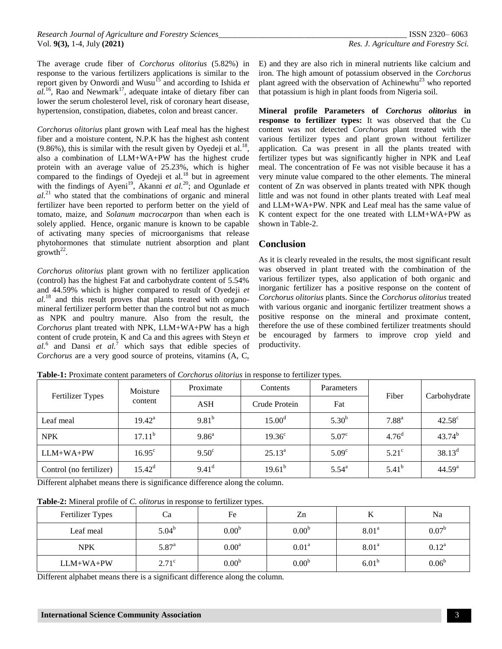The average crude fiber of *Corchorus olitorius* (5.82%) in response to the various fertilizers applications is similar to the report given by Onwordi and Wusu<sup>15</sup> and according to Ishida *et*  $aI^{16}$ , Rao and Newmark<sup>17</sup>, adequate intake of dietary fiber can lower the serum cholesterol level, risk of coronary heart disease, hypertension, constipation, diabetes, colon and breast cancer.

*Corchorus olitorius* plant grown with Leaf meal has the highest fiber and a moisture content, N.P.K has the highest ash content  $(9.86\%)$ , this is similar with the result given by Oyedeji et al.<sup>18</sup>, also a combination of LLM+WA+PW has the highest crude protein with an average value of 25.23%, which is higher compared to the findings of Oyedeji et al. $18$  but in agreement with the findings of Ayeni<sup>19</sup>, Akanni *et al.*<sup>20</sup>; and Ogunlade *et al.*<sup>21</sup> who stated that the combinations of organic and mineral fertilizer have been reported to perform better on the yield of tomato, maize, and *Solanum macrocarpon* than when each is solely applied. Hence, organic manure is known to be capable of activating many species of microorganisms that release phytohormones that stimulate nutrient absorption and plant  $\text{growth}^{22}$ .

*Corchorus olitorius* plant grown with no fertilizer application (control) has the highest Fat and carbohydrate content of 5.54% and 44.59% which is higher compared to result of Oyedeji *et al.*<sup>18</sup> and this result proves that plants treated with organomineral fertilizer perform better than the control but not as much as NPK and poultry manure. Also from the result, the *Corchorus* plant treated with NPK, LLM+WA+PW has a high content of crude protein, K and Ca and this agrees with Steyn *et al.*<sup>6</sup> and Dansi *et al.*<sup>7</sup> which says that edible species of *Corchorus* are a very good source of proteins, vitamins (A, C,

E) and they are also rich in mineral nutrients like calcium and iron. The high amount of potassium observed in the *Corchorus*  plant agreed with the observation of Achinewhu<sup>23</sup> who reported that potassium is high in plant foods from Nigeria soil.

**Mineral profile Parameters of** *Corchorus olitorius* **in response to fertilizer types:** It was observed that the Cu content was not detected *Corchorus* plant treated with the various fertilizer types and plant grown without fertilizer application. Ca was present in all the plants treated with fertilizer types but was significantly higher in NPK and Leaf meal. The concentration of Fe was not visible because it has a very minute value compared to the other elements. The mineral content of Zn was observed in plants treated with NPK though little and was not found in other plants treated with Leaf meal and LLM+WA+PW. NPK and Leaf meal has the same value of K content expect for the one treated with LLM+WA+PW as shown in Table-2.

## **Conclusion**

As it is clearly revealed in the results, the most significant result was observed in plant treated with the combination of the various fertilizer types, also application of both organic and inorganic fertilizer has a positive response on the content of *Corchorus olitorius* plants. Since the *Corchorus olitorius* treated with various organic and inorganic fertilizer treatment shows a positive response on the mineral and proximate content, therefore the use of these combined fertilizer treatments should be encouraged by farmers to improve crop yield and productivity.

| <b>Fertilizer Types</b> | Moisture<br>content | Proximate         | Contents<br>Parameters |                   | Fiber             | Carbohydrate    |
|-------------------------|---------------------|-------------------|------------------------|-------------------|-------------------|-----------------|
|                         |                     | <b>ASH</b>        | Crude Protein          | Fat               |                   |                 |
| Leaf meal               | $19.42^{\rm a}$     | $9.81^{b}$        | 15.00 <sup>d</sup>     | $5.30^{b}$        | $7.88^{a}$        | $42.58^{\circ}$ |
| <b>NPK</b>              | 17.11 <sup>b</sup>  | 9.86 <sup>a</sup> | $19.36^{\circ}$        | 5.07 <sup>c</sup> | 4.76 <sup>d</sup> | $43.74^{b}$     |
| $LLM+WA+PW$             | $16.95^{\circ}$     | $9.50^{\circ}$    | $25.13^a$              | 5.09 <sup>c</sup> | $5.21^{\circ}$    | $38.13^d$       |
| Control (no fertilizer) | $15.42^d$           | $9.41^{\rm d}$    | $19.61^{b}$            | $5.54^{\rm a}$    | $5.41^{b}$        | $44.59^{a}$     |

**Table-1:** Proximate content parameters of *Corchorus olitorius* in response to fertilizer types.

Different alphabet means there is significance difference along the column.

| Table-2: Mineral profile of <i>C. olitorus</i> in response to fertilizer types. |  |  |  |
|---------------------------------------------------------------------------------|--|--|--|
|                                                                                 |  |  |  |

| Fertilizer Types | Ca           | Fe                | Zn                | 17                | Na             |
|------------------|--------------|-------------------|-------------------|-------------------|----------------|
| Leaf meal        | $5.04^b$     | 0.00 <sup>b</sup> | 0.00 <sup>b</sup> | 8.01 <sup>a</sup> | $0.07^{\rm b}$ |
| <b>NPK</b>       | $5.87^{a}$   | 0.00 <sup>a</sup> | 0.01 <sup>a</sup> | 8.01 <sup>a</sup> | $0.12^a$       |
| $LLM+WA+PW$      | $2.71^\circ$ | 0.00 <sup>b</sup> | 0.00 <sup>b</sup> | $6.01^{b}$        | $0.06^{\rm b}$ |

Different alphabet means there is a significant difference along the column.